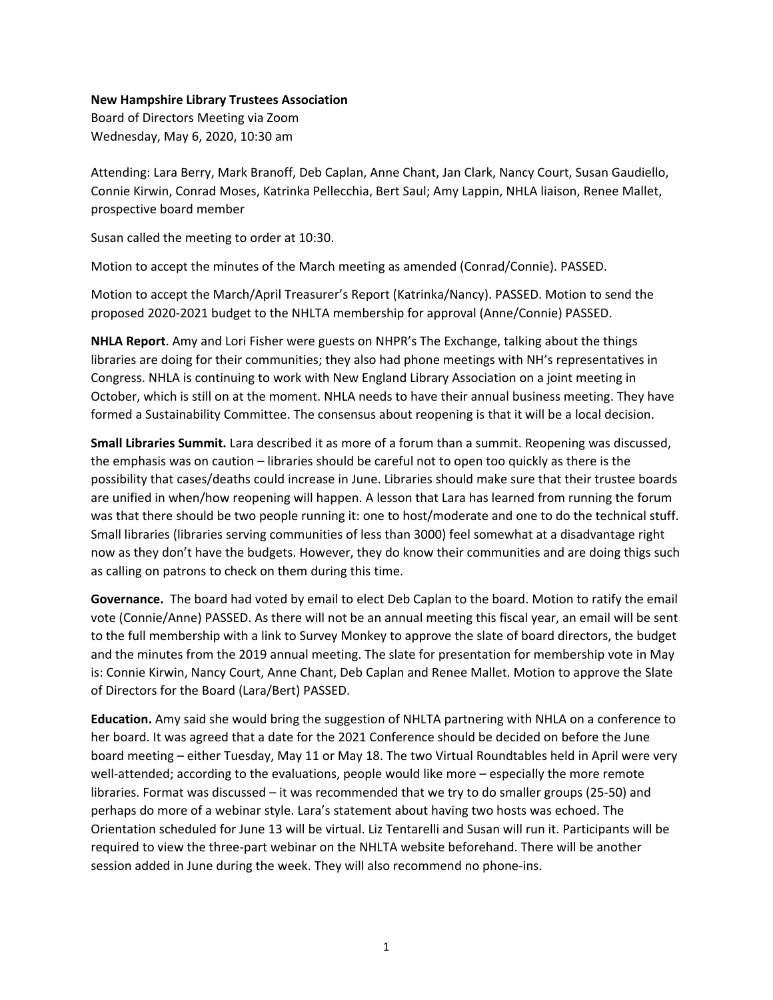## **New Hampshire Library Trustees Association**

Board of Directors Meeting via Zoom Wednesday, May 6, 2020, 10:30 am

Attending: Lara Berry, Mark Branoff, Deb Caplan, Anne Chant, Jan Clark, Nancy Court, Susan Gaudiello, Connie Kirwin, Conrad Moses, Katrinka Pellecchia, Bert Saul; Amy Lappin, NHLA liaison, Renee Mallet, prospective board member

Susan called the meeting to order at 10:30.

Motion to accept the minutes of the March meeting as amended (Conrad/Connie). PASSED.

Motion to accept the March/April Treasurer's Report (Katrinka/Nancy). PASSED. Motion to send the proposed 2020-2021 budget to the NHLTA membership for approval (Anne/Connie) PASSED.

**NHLA Report**. Amy and Lori Fisher were guests on NHPR's The Exchange, talking about the things libraries are doing for their communities; they also had phone meetings with NH's representatives in Congress. NHLA is continuing to work with New England Library Association on a joint meeting in October, which is still on at the moment. NHLA needs to have their annual business meeting. They have formed a Sustainability Committee. The consensus about reopening is that it will be a local decision.

**Small Libraries Summit.** Lara described it as more of a forum than a summit. Reopening was discussed, the emphasis was on caution – libraries should be careful not to open too quickly as there is the possibility that cases/deaths could increase in June. Libraries should make sure that their trustee boards are unified in when/how reopening will happen. A lesson that Lara has learned from running the forum was that there should be two people running it: one to host/moderate and one to do the technical stuff. Small libraries (libraries serving communities of less than 3000) feel somewhat at a disadvantage right now as they don't have the budgets. However, they do know their communities and are doing thigs such as calling on patrons to check on them during this time.

**Governance.** The board had voted by email to elect Deb Caplan to the board. Motion to ratify the email vote (Connie/Anne) PASSED. As there will not be an annual meeting this fiscal year, an email will be sent to the full membership with a link to Survey Monkey to approve the slate of board directors, the budget and the minutes from the 2019 annual meeting. The slate for presentation for membership vote in May is: Connie Kirwin, Nancy Court, Anne Chant, Deb Caplan and Renee Mallet. Motion to approve the Slate of Directors for the Board (Lara/Bert) PASSED.

**Education.** Amy said she would bring the suggestion of NHLTA partnering with NHLA on a conference to her board. It was agreed that a date for the 2021 Conference should be decided on before the June board meeting – either Tuesday, May 11 or May 18. The two Virtual Roundtables held in April were very well-attended; according to the evaluations, people would like more – especially the more remote libraries. Format was discussed – it was recommended that we try to do smaller groups (25-50) and perhaps do more of a webinar style. Lara's statement about having two hosts was echoed. The Orientation scheduled for June 13 will be virtual. Liz Tentarelli and Susan will run it. Participants will be required to view the three-part webinar on the NHLTA website beforehand. There will be another session added in June during the week. They will also recommend no phone-ins.